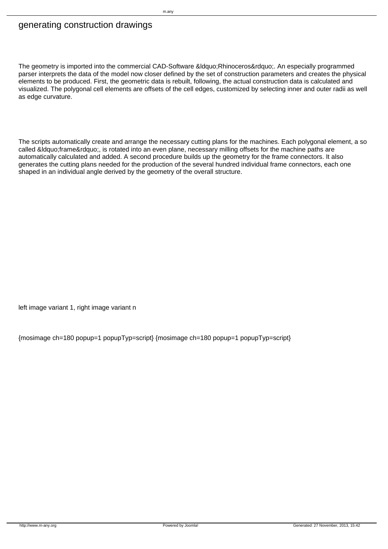## generating construction drawings

The geometry is imported into the commercial CAD-Software &Idquo;Rhinoceros". An especially programmed parser interprets the data of the model now closer defined by the set of construction parameters and creates the physical elements to be produced. First, the geometric data is rebuilt, following, the actual construction data is calculated and visualized. The polygonal cell elements are offsets of the cell edges, customized by selecting inner and outer radii as well as edge curvature.

The scripts automatically create and arrange the necessary cutting plans for the machines. Each polygonal element, a so called "frame", is rotated into an even plane, necessary milling offsets for the machine paths are automatically calculated and added. A second procedure builds up the geometry for the frame connectors. It also generates the cutting plans needed for the production of the several hundred individual frame connectors, each one shaped in an individual angle derived by the geometry of the overall structure.

left image variant 1, right image variant n

{mosimage ch=180 popup=1 popupTyp=script} {mosimage ch=180 popup=1 popupTyp=script}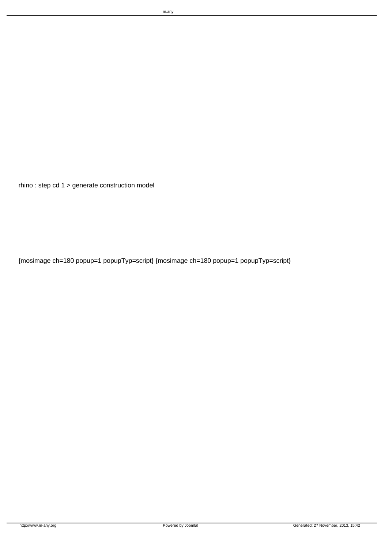rhino : step cd 1 > generate construction model

{mosimage ch=180 popup=1 popupTyp=script} {mosimage ch=180 popup=1 popupTyp=script}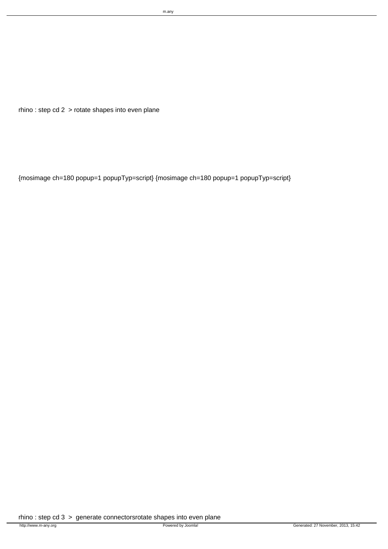```
rhino : step cd 2 > rotate shapes into even plane
```
{mosimage ch=180 popup=1 popupTyp=script} {mosimage ch=180 popup=1 popupTyp=script}

rhino : step cd 3 > generate connectorsrotate shapes into even plane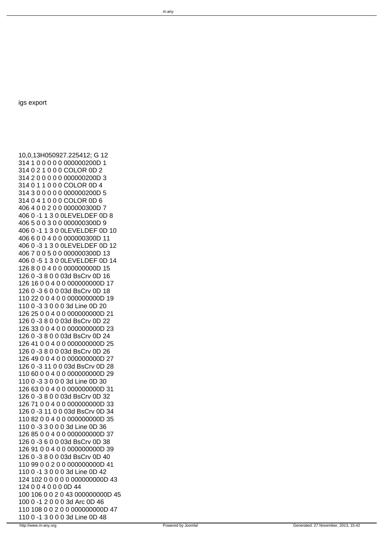igs export

10,0,13H050927.225412; G 12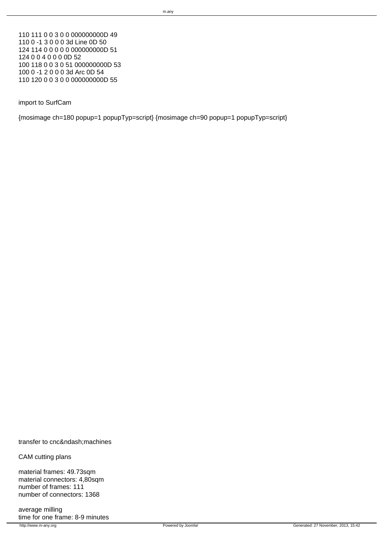110 111 0 0 3 0 0 000000000D 49 110 0 -1 3 0 0 0 3d Line 0D 50 124 114 0 0 0 0 0 000000000D 51 124 0 0 4 0 0 0 0D 52 100 118 0 0 3 0 51 000000000D 53 100 0 -1 2 0 0 0 3d Arc 0D 54 110 120 0 0 3 0 0 000000000D 55

import to SurfCam

{mosimage ch=180 popup=1 popupTyp=script} {mosimage ch=90 popup=1 popupTyp=script}

transfer to cnc– machines

CAM cutting plans

material frames: 49.73sqm material connectors: 4,80sqm number of frames: 111 number of connectors: 1368

average milling time for one frame: 8-9 minutes